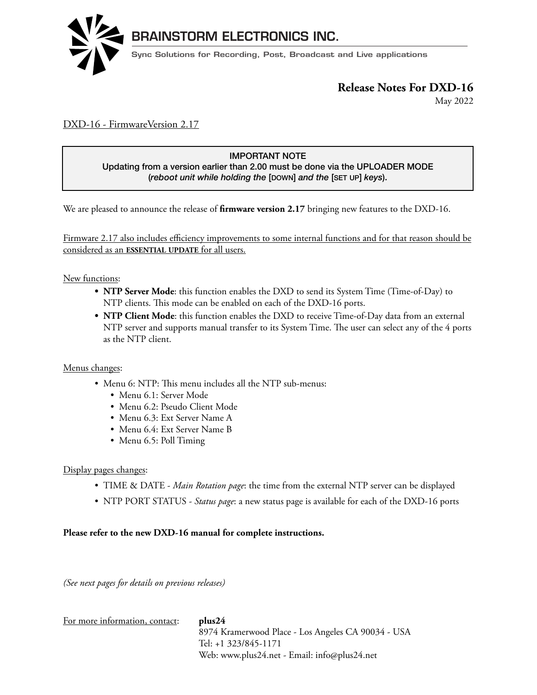

May 2022

### DXD-16 - FirmwareVersion 2.17

### IMPORTANT NOTE

Updating from a version earlier than 2.00 must be done via the UPLOADER MODE (*reboot unit while holding the* [DOWN] *and the* [SET UP] *keys*).

We are pleased to announce the release of **firmware version 2.17** bringing new features to the DXD-16.

Firmware 2.17 also includes efficiency improvements to some internal functions and for that reason should be considered as an ESSENTIAL UPDATE for all users.

New functions:  $\overline{\phantom{a}}$ 

- **NTP Server Mode**: this function enables the DXD to send its System Time (Time-of-Day) to NTP clients. This mode can be enabled on each of the DXD-16 ports.
- **NTP Client Mode**: this function enables the DXD to receive Time-of-Day data from an external NTP server and supports manual transfer to its System Time. The user can select any of the 4 ports as the NTP client. SUMPLE CHEIR MODE. UP

#### Menus changes:

- $\bullet\,$  Menu 6: NTP: This menu includes all the NTP sub-menus:  $\frac{1}{2}$ 
	- Menu 6.1: Server Mode vienu o.1; server ivioue
		- Menu 6.2: Pseudo Client Mode
		- Menu 6.3: Ext Server Name A
- Menu 6.4: Ext Server Name B
- Menu  $6.5$ : Poll Timing

# Display pages changes:

- TIME & DATE *Main Rotation page*: the time from the external NTP server can be displayed
- NTP PORT STATUS *Status page*: a new status page is available for each of the DXD-16 ports

#### **Please refer to the new DXD-16 manual for complete instructions.**  $\overline{\mathcal{O}}$

*(See next pages for details on previous releases)*

| For more information, contact: | plus24                                             |
|--------------------------------|----------------------------------------------------|
|                                | 8974 Kramerwood Place - Los Angeles CA 90034 - USA |
|                                | Tel: +1 323/845-1171                               |
|                                | Web: www.plus24.net - Email: info@plus24.net       |
|                                |                                                    |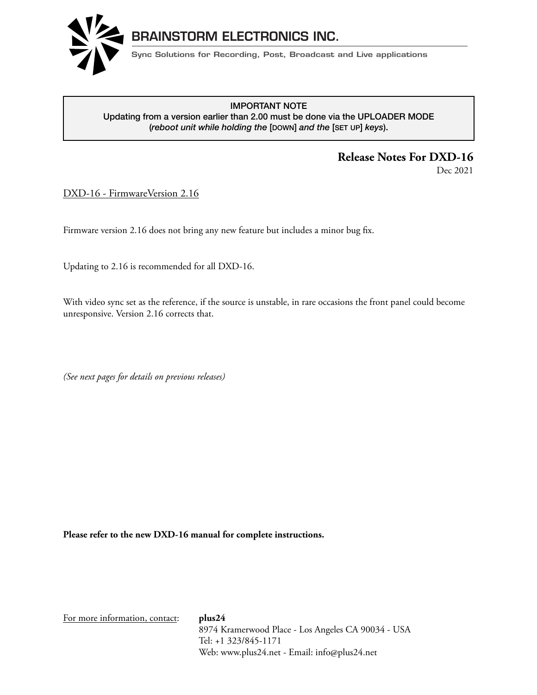

#### **RELEASE INFORTATION**<br>Updating from a version earlier than 2.00 must be done via the UPLOADER MODE IMPORTANT NOTE (*reboot unit while holding the* [DOWN] *and the* [SET UP] *keys*).

# **Release Notes For DXD-16**

Dec 2021

DXD-16 - FirmwareVersion 2.16

Firmware version 2.16 does not bring any new feature but includes a minor bug fix.  $\theta$  is internal comparation of external references. The 16 universal outputs can be  $\theta$ 

Updating to 2.16 is recommended for all DXD-16. versatile.

With video sync set as the reference, if the source is unstable, in rare occasions the front panel could become unresponsive. Version 2.16 corrects that.  $\mathbf{F}$ 

(See next pages for details on previous releases)

Please refer to the new DXD-16 manual for complete instructions.

For more information, contact: **plus24** 8974 Kramerwood Place - Los Angeles CA 90034 - USA Tel: +1 323/845-1171 Web: www.plus24.net - Email: info@plus24.net

 $\overline{D}$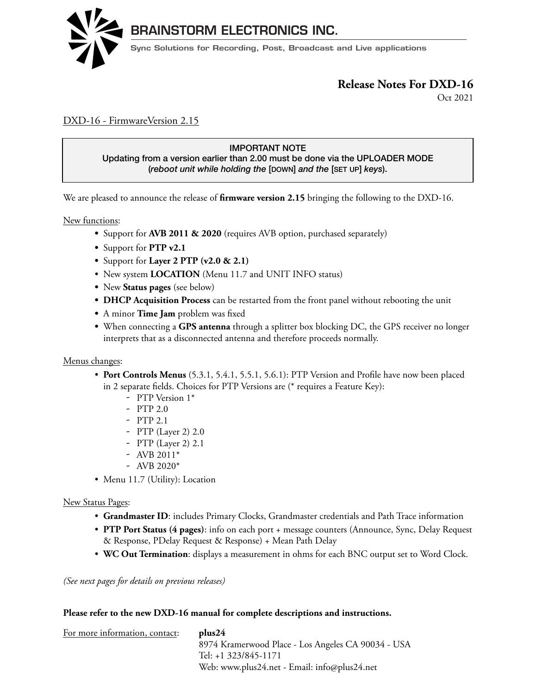

Oct 2021 **Release Notes for District for District for District for District for District for District for District for D** 

## DXD-16 - FirmwareVersion 2.15

#### IMPORTANT NOTE Updating from a version earlier than 2.00 must be done via the UPLOADER MODE<br>(rebest unit while holding the Incurul and the Isrx upl keys) (*reboot unit while holding the* [DOWN] *and the* [SET UP] *keys*).

We are pleased to announce the release of **firmware version 2.15** bringing the following to the DXD-16.

**New functions:**  $\overline{\phantom{a}}$ 

- Support for **AVB 2011 & 2020** (requires AVB option, purchased separately)
- Support for **PTP v2.1** versatile.
	- **•** Support for **Layer 2 PTP (v2.0 & 2.1)**
- New system **LOCATION** (Menu 11.7 and UNIT INFO status)
- **•** New Status pages (see below)
- **DHCP Acquisition Process** can be restarted from the front panel without rebooting the unit
- A minor **Time Jam** problem was fixed
	- **•** When connecting a **GPS antenna** through a splitter box blocking DC, the GPS receiver no longer interprets that as a disconnected antenna and therefore proceeds normally.

#### Menus changes: **FEATURES TO BE IMPLEMENTED IN UPCOMING UPDATES.**

- **Port Controls Menus** (5.3.1, 5.4.1, 5.5.1, 5.6.1): PTP Version and Profile have now been placed In 2 separate fields. Choices for PTP Versions are (\* requires a Feature Key):  $\frac{1}{\sqrt{2}}$ H $\frac{1}{\sqrt{2}}$  $\sum_{i=1}^{n}$  or changing its parameters from any computer on the network.
	- PTP Version  $1^*$
	- PTP 2.0
- $-$  PTP 2.1
- $-$  PTP (Layer 2) 2.0
	- PTP (Layer 2) 2.1
- $-$  AVB 2011<sup>\*</sup>
	- AVB 2020\*
- Menu 11.7 (Utility): Location **NEW INDEX**

### New Status Pages:

- Grandmaster ID: includes Primary Clocks, Grandmaster credentials and Path Trace information
- **PTP Port Status (4 pages)**: info on each port + message counters (Announce, Sync, Delay Request & Response, PDelay Request & Response) + Mean Path Delay
	- **WC Out Termination**: displays a measurement in ohms for each BNC output set to Word Clock.

*(See next pages for details on previous releases)*

#### **Please refer to the new DXD-16 manual for complete descriptions and instructions.**

| For more information, contact: | plus24                                             |
|--------------------------------|----------------------------------------------------|
|                                | 8974 Kramerwood Place - Los Angeles CA 90034 - USA |
|                                | Tel: +1 323/845-1171                               |
|                                | Web: www.plus24.net - Email: info@plus24.net       |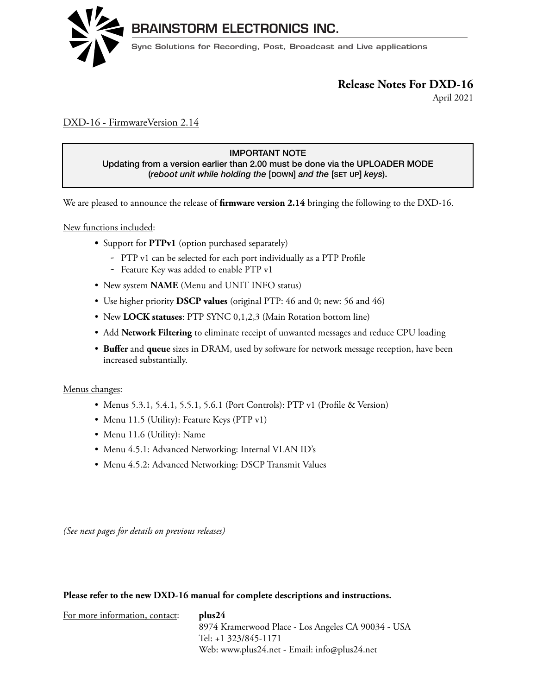

April 2021 **Release Notes for DXD-16**

### DXD-16 - FirmwareVersion 2.14

### Updating from a version earlier than 2.00 must be done via the UPLOADER MODE IMPORTANT NOTE (*reboot unit while holding the* [DOWN] *and the* [SET UP] *keys*).

We are pleased to announce the release of **firmware version 2.14** bringing the following to the DXD-16.

New functions included: The DXD-16 is a precision multiformat reference generator. It can generate a whole range of references either

- Support for **PTPv1** (option purchased separately)
	- PTP v1 can be selected for each port individually as a PTP Profile
- Feature Key was added to enable PTP v1
- New system **NAME** (Menu and UNIT INFO status)
- $\bullet\,$  Use higher priority  $DSCP$  values (original PTP:  $46$  and  $0;$  new:  $56$  and  $46)$
- New LOCK statuses: PTP SYNC 0,1,2,3 (Main Rotation bottom line)
	- Add **Network Filtering** to eliminate receipt of unwanted messages and reduce CPU loading
- **Buffer** and **queue** sizes in DRAM, used by software for network message reception, have been increased substantially.  $\frac{1}{10}$

**Menus changes:** 

- Menus 5.3.1, 5.4.1, 5.5.1, 5.6.1 (Port Controls): PTP v1 (Profile & Version)
- Menu 11.5 (Utility): Feature Keys (PTP v1)
- $\bullet$  Menu 11.6 (Utility): Name
- $\bullet\,$  Menu 4.5.1: Advanced Networking: Internal VLAN ID's
	- Menu 4.5.2: Advanced Networking: DSCP Transmit Values

(See next pages for details on previous releases)

#### **Please refer to the new DXD-16 manual for complete descriptions and instructions.**

| For more information, contact: | plus24                                             |
|--------------------------------|----------------------------------------------------|
|                                | 8974 Kramerwood Place - Los Angeles CA 90034 - USA |
|                                | Tel: +1 323/845-1171                               |
|                                | Web: www.plus24.net - Email: info@plus24.net       |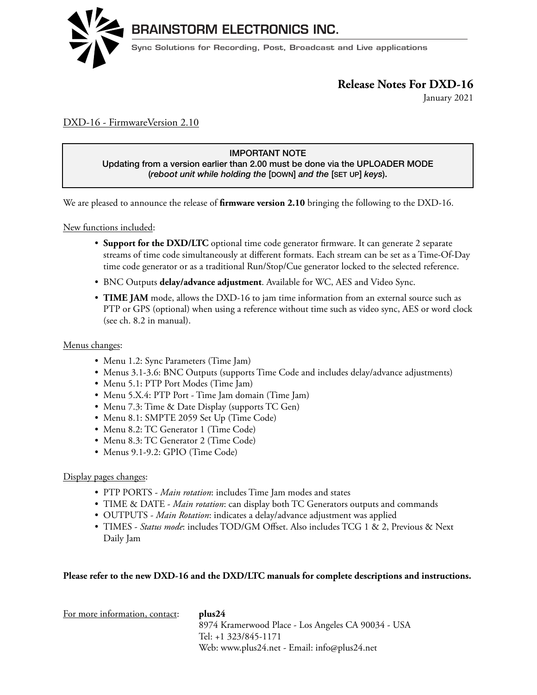

January 2021 **Release Notes for DXD-16**

### DXD-16 - FirmwareVersion 2.10

### IMPORTANT NOTE

Updating from a version earlier than 2.00 must be done via the UPLOADER MODE (*reboot unit while holding the* [DOWN] *and the* [SET UP] *keys*).

We are pleased to announce the release of **firmware version 2.10** bringing the following to the DXD-16.

Locked to it is included:  $\frac{N_{\text{ew}}}{N_{\text{ew}}}$  functions included:  $T_{\rm eff}$  is a precision multiformat reference generator. It can generate a whole range of references either  $\alpha$ 

- Support for the DXD/LTC optional time code generator firmware. It can generate 2 separate streams of time code simultaneously at different formats. Each stream can be set as a Time-Of-Day time code generator or as a traditional Run/Stop/Cue generator locked to the selected reference.
- BNC Outputs **delay/advance adjustment**. Available for WC, AES and Video Sync.
- **TIME JAM** mode, allows the DXD-16 to jam time information from an external source such as PTP or GPS (optional) when using a reference without time such as video sync, AES or word clock (see ch. 8.2 in manual).  $\frac{1}{2}$   $\frac{1}{2}$   $\frac{0}{2}$   $\frac{0}{2}$   $\frac{1}{2}$

### Menus changes:

- Menu 1.2: Sync Parameters (Time Jam) **FEATURE TO BE IMPLEMENTED.**
- Menus 3.1-3.6: BNC Outputs (supports Time Code and includes delay/advance adjustments)
	- $\bullet$  Menu 5.1: PTP Port Modes (Time Jam)
	- Menu 5.X.4: PTP Port Time Jam domain (Time Jam)
- Menu 7.3: Time & Date Display (supports TC Gen)
- Menu 8.1: SMPTE 2059 Set Up (Time Code)
- Menu 8.2: TC Generator 1 (Time Code)
- Menu 8.3: TC Generator 2 (Time Code)
- $\bullet\,$  Menus 9.1-9.2: GPIO (Time Code)

#### Display pages changes:

- PTP PORTS *Main rotation*: includes Time Jam modes and states
- TIME & DATE *Main rotation*: can display both TC Generators outputs and commands
- $\bullet$  OUTPUTS *Main Rotation*: indicates a delay/advance adjustment was applied
- TIMES *Status mode*: includes TOD/GM Offset. Also includes TCG 1 & 2, Previous & Next<br>D. <sup>11</sup> J Daily Jam  $2<sub>max</sub>$  Jame

#### **Please refer to the new DXD-16 and the DXD/LTC manuals for complete descriptions and instructions.**

| plus24                                             |
|----------------------------------------------------|
| 8974 Kramerwood Place - Los Angeles CA 90034 - USA |
| Tel: +1 323/845-1171                               |
| Web: www.plus24.net - Email: info@plus24.net       |
|                                                    |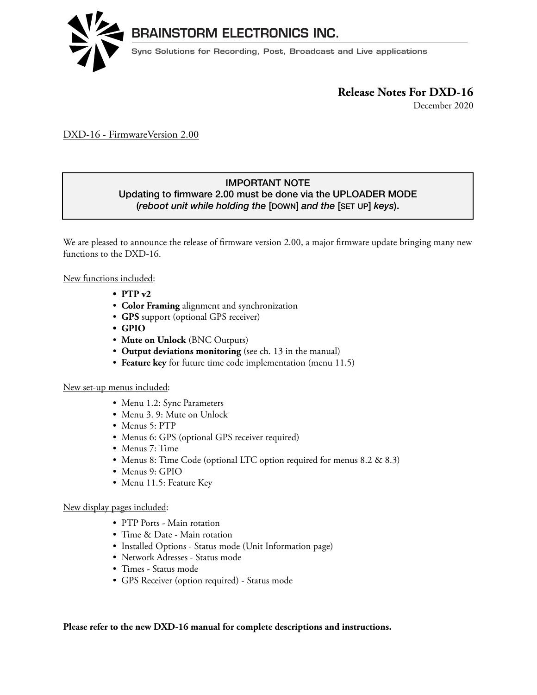

December 2020

DXD-16 - FirmwareVersion 2.00

## IMPORTANT NOTE

Updating to firmware 2.00 must be done via the UPLOADER MODE *(reboot unit while holding the [DOWN] and the [SET UP] keys).* 

We are pleased to announce the release of firmware version 2.00, a major firmware update bringing many new functions to the DXD-16. locked to it's internal crystal or to a large selection of external references. The 16 universal outputs can be /e are pleased to announce the release of firmware version 2.00, a major firmware update bringing many i

New functions included: Will bring PTP to the DXD-16. With this powerful feature, the DXD-16 will fit in a str

- **• PTP v2** hybrid system either as a Grandmaster or as a PTP slave. PTP slave. PTP slave. PTP slave. PTP slave. PTP slave
- **Color Framing** alignment and synchronization
- GPS support (optional GPS receiver)
	- **• GPIO**
	- **Mute on Unlock** (BNC Outputs)
- **Output deviations monitoring** (see ch. 13 in the manual)
- **Feature key** for future time code implementation (menu 11.5)  $5$ HPRWHFRQWUROWKH(WKHUXI) in the second  $\tilde{X}$

# New set-up menus included:

- Menu 1.2: Sync Parameters or changing its parameters from any computer on the network.  $\mathcal{L}(\mathcal{D})=\mathcal{L}(\mathcal{D})$ 
	- Menu 3. 9: Mute on Unlock
- Menus  $5: PTP$
- Menus 6: GPS (optional GPS receiver required)
	- Menus 7: Time
- $\bullet\,$  Menus 8: Time Code (optional LTC option required for menus 8.2 & 8.3)
	- Menus 9: GPIO
	- Menu 11.5: Feature Key

### New display pages included:

- PTP Ports Main rotation
- Time  $\&$  Date Main rotation
	- $\bullet$  Installed Options Status mode (Unit Information page)
	- $\bullet$  Network Adresses Status mode
		- Times Status mode
		- GPS Receiver (option required) Status mode

### Please refer to the new DXD-16 manual for complete descriptions and instructions.